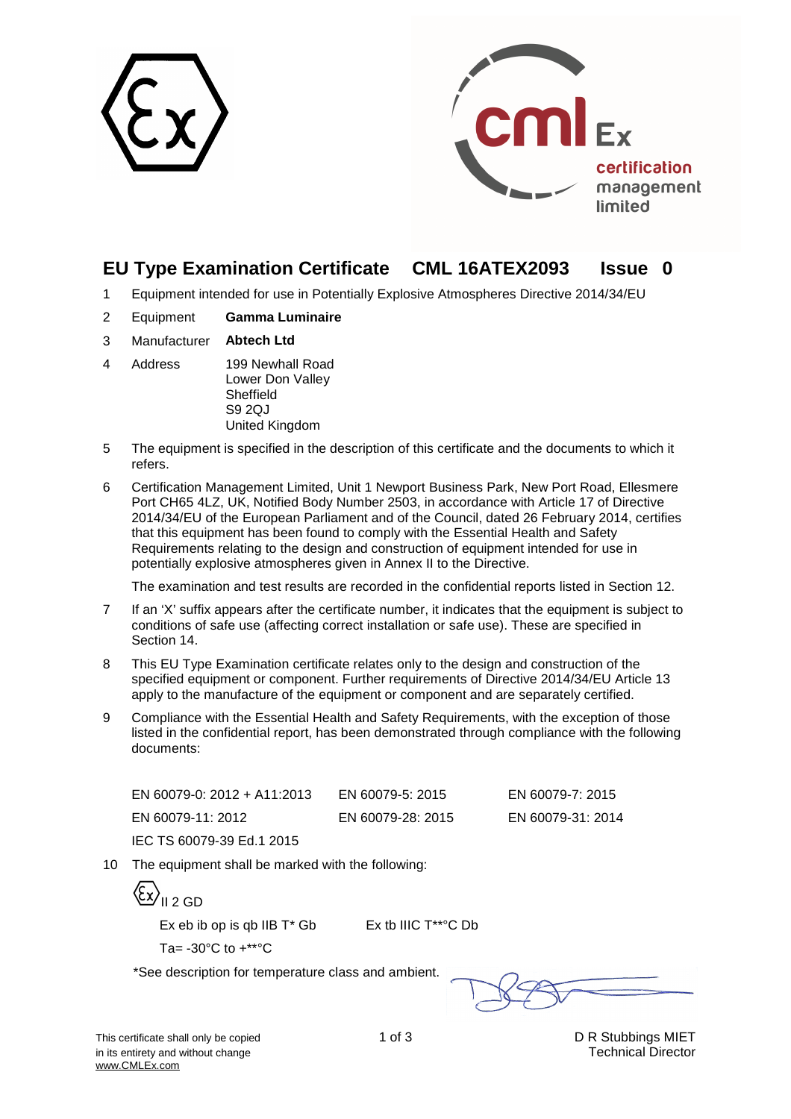



# **EU Type Examination Certificate CML 16ATEX2093 Issue 0**

- 1 Equipment intended for use in Potentially Explosive Atmospheres Directive 2014/34/EU
- 2 Equipment **Gamma Luminaire**
- 3 Manufacturer **Abtech Ltd**
- 4 Address 199 Newhall Road Lower Don Valley **Sheffield** S9 2QJ United Kingdom
- 5 The equipment is specified in the description of this certificate and the documents to which it refers.
- 6 Certification Management Limited, Unit 1 Newport Business Park, New Port Road, Ellesmere Port CH65 4LZ, UK, Notified Body Number 2503, in accordance with Article 17 of Directive 2014/34/EU of the European Parliament and of the Council, dated 26 February 2014, certifies that this equipment has been found to comply with the Essential Health and Safety Requirements relating to the design and construction of equipment intended for use in potentially explosive atmospheres given in Annex II to the Directive.

The examination and test results are recorded in the confidential reports listed in Section 12.

- 7 If an 'X' suffix appears after the certificate number, it indicates that the equipment is subject to conditions of safe use (affecting correct installation or safe use). These are specified in Section 14.
- 8 This EU Type Examination certificate relates only to the design and construction of the specified equipment or component. Further requirements of Directive 2014/34/EU Article 13 apply to the manufacture of the equipment or component and are separately certified.
- 9 Compliance with the Essential Health and Safety Requirements, with the exception of those listed in the confidential report, has been demonstrated through compliance with the following documents:

| EN 60079-0: 2012 + A11:2013 | EN 60079-5: 2015  | EN 60079-7: 2015  |
|-----------------------------|-------------------|-------------------|
| EN 60079-11: 2012           | EN 60079-28: 2015 | EN 60079-31: 2014 |
| IEC TS 60079-39 Ed.1 2015   |                   |                   |

10 The equipment shall be marked with the following:

{Ex}<sub>II 2 GD</sub>

Ex eb ib op is qb IIB  $T^*$  Gb Ex tb IIIC  $T^{**}$ °C Db

Ta= $-30^{\circ}$ C to  $+***^{\circ}$ C

\*See description for temperature class and ambient.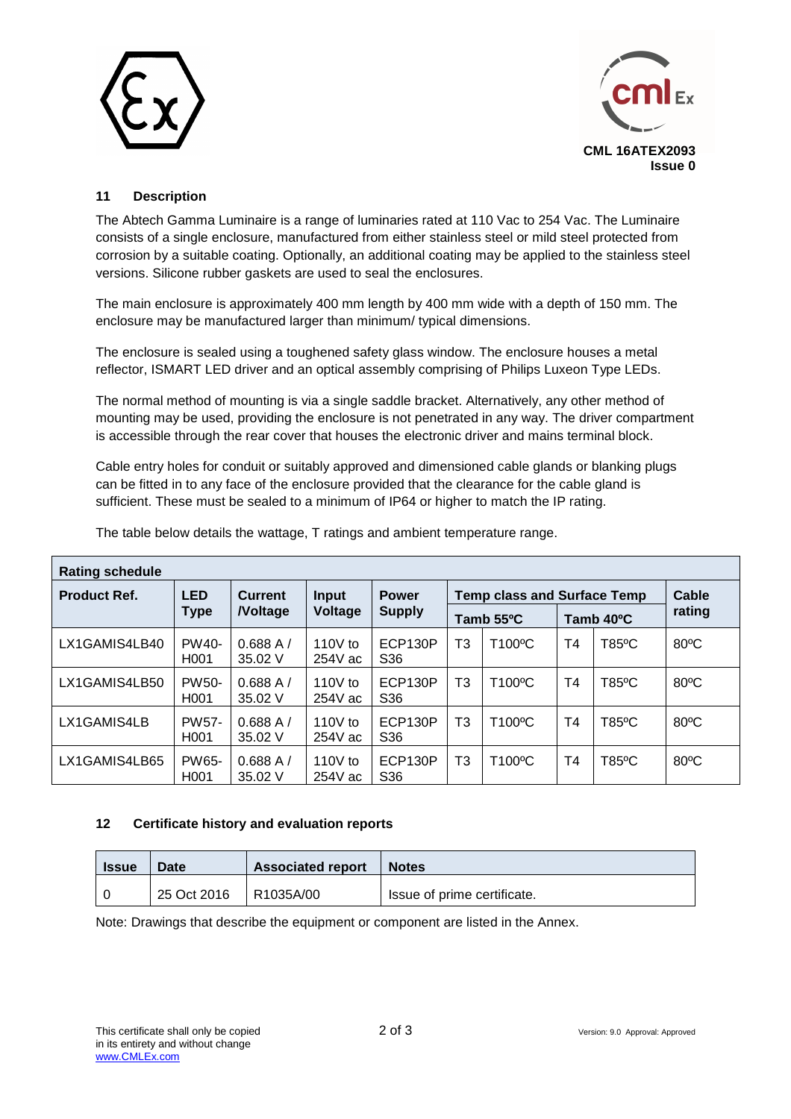



#### **11 Description**

The Abtech Gamma Luminaire is a range of luminaries rated at 110 Vac to 254 Vac. The Luminaire consists of a single enclosure, manufactured from either stainless steel or mild steel protected from corrosion by a suitable coating. Optionally, an additional coating may be applied to the stainless steel versions. Silicone rubber gaskets are used to seal the enclosures.

The main enclosure is approximately 400 mm length by 400 mm wide with a depth of 150 mm. The enclosure may be manufactured larger than minimum/ typical dimensions.

The enclosure is sealed using a toughened safety glass window. The enclosure houses a metal reflector, ISMART LED driver and an optical assembly comprising of Philips Luxeon Type LEDs.

The normal method of mounting is via a single saddle bracket. Alternatively, any other method of mounting may be used, providing the enclosure is not penetrated in any way. The driver compartment is accessible through the rear cover that houses the electronic driver and mains terminal block.

Cable entry holes for conduit or suitably approved and dimensioned cable glands or blanking plugs can be fitted in to any face of the enclosure provided that the clearance for the cable gland is sufficient. These must be sealed to a minimum of IP64 or higher to match the IP rating.

| <b>Rating schedule</b> |                                  |                           |                         |                               |                |                                    |                |       |                 |
|------------------------|----------------------------------|---------------------------|-------------------------|-------------------------------|----------------|------------------------------------|----------------|-------|-----------------|
| <b>Product Ref.</b>    | <b>LED</b><br><b>Type</b>        | Current<br><b>Noltage</b> | <b>Input</b><br>Voltage | <b>Power</b><br><b>Supply</b> |                | <b>Temp class and Surface Temp</b> |                |       | Cable<br>rating |
|                        |                                  |                           |                         |                               | Tamb 55°C      |                                    | Tamb 40°C      |       |                 |
| LX1GAMIS4LB40          | <b>PW40-</b><br>H <sub>001</sub> | 0.688A/<br>35.02 V        | 110 $V$ to<br>$254V$ ac | ECP130P<br>S <sub>36</sub>    | T3             | T100°C                             | T4             | T85°C | $80^{\circ}$ C  |
| LX1GAMIS4LB50          | <b>PW50-</b><br>H <sub>001</sub> | 0.688A/<br>35.02 V        | 110 $V$ to<br>$254V$ ac | ECP130P<br>S <sub>36</sub>    | T <sub>3</sub> | T100°C                             | T <sub>4</sub> | T85°C | $80^{\circ}$ C  |
| LX1GAMIS4LB            | <b>PW57-</b><br>H <sub>001</sub> | 0.688A/<br>35.02 V        | 110 $V$ to<br>$254V$ ac | ECP130P<br>S <sub>36</sub>    | T3             | T100°C                             | T4             | T85°C | $80^{\circ}$ C  |
| LX1GAMIS4LB65          | PW65-<br>H <sub>001</sub>        | 0.688A/<br>35.02 V        | 110 $V$ to<br>$254V$ ac | ECP130P<br>S <sub>36</sub>    | T <sub>3</sub> | T100°C                             | T4             | T85°C | $80^{\circ}$ C  |

The table below details the wattage, T ratings and ambient temperature range.

#### **12 Certificate history and evaluation reports**

| <b>Issue</b> | <b>Date</b> | <b>Associated report</b> | <b>Notes</b>                |
|--------------|-------------|--------------------------|-----------------------------|
|              | 25 Oct 2016 | R1035A/00                | Issue of prime certificate. |

Note: Drawings that describe the equipment or component are listed in the Annex.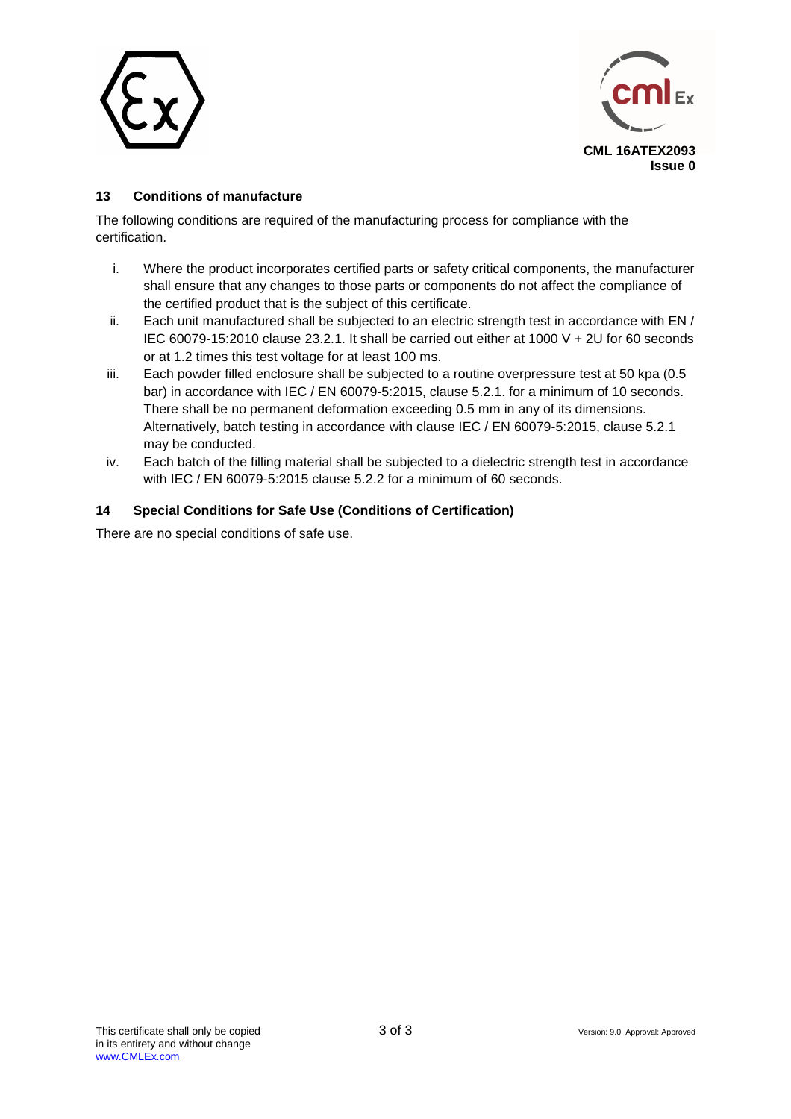



#### **13 Conditions of manufacture**

The following conditions are required of the manufacturing process for compliance with the certification.

- i. Where the product incorporates certified parts or safety critical components, the manufacturer shall ensure that any changes to those parts or components do not affect the compliance of the certified product that is the subject of this certificate.
- ii. Each unit manufactured shall be subjected to an electric strength test in accordance with EN / IEC 60079-15:2010 clause 23.2.1. It shall be carried out either at 1000 V + 2U for 60 seconds or at 1.2 times this test voltage for at least 100 ms.
- iii. Each powder filled enclosure shall be subjected to a routine overpressure test at 50 kpa (0.5 bar) in accordance with IEC / EN 60079-5:2015, clause 5.2.1. for a minimum of 10 seconds. There shall be no permanent deformation exceeding 0.5 mm in any of its dimensions. Alternatively, batch testing in accordance with clause IEC / EN 60079-5:2015, clause 5.2.1 may be conducted.
- iv. Each batch of the filling material shall be subjected to a dielectric strength test in accordance with IEC / EN 60079-5:2015 clause 5.2.2 for a minimum of 60 seconds.

#### **14 Special Conditions for Safe Use (Conditions of Certification)**

There are no special conditions of safe use.